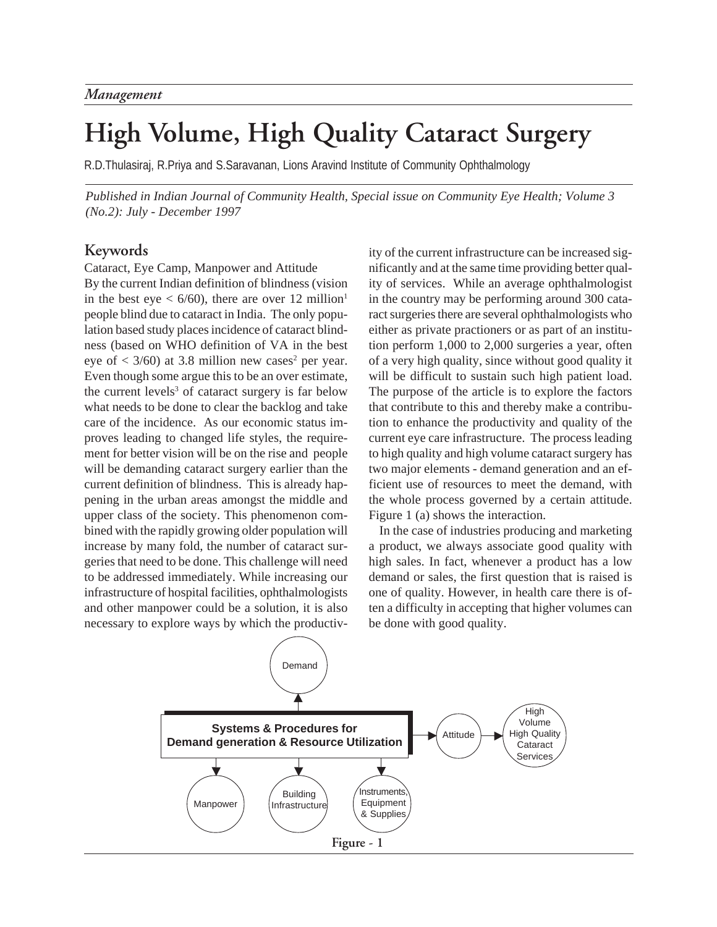# **High Volume, High Quality Cataract Surgery**

R.D.Thulasiraj, R.Priya and S.Saravanan, Lions Aravind Institute of Community Ophthalmology

*Published in Indian Journal of Community Health, Special issue on Community Eye Health; Volume 3 (No.2): July - December 1997*

## **Keywords**

Cataract, Eye Camp, Manpower and Attitude By the current Indian definition of blindness (vision in the best eye  $\lt 6/60$ , there are over 12 million<sup>1</sup> people blind due to cataract in India. The only population based study places incidence of cataract blindness (based on WHO definition of VA in the best eye of  $\langle 3/60 \rangle$  at 3.8 million new cases<sup>2</sup> per year. Even though some argue this to be an over estimate, the current levels<sup>3</sup> of cataract surgery is far below what needs to be done to clear the backlog and take care of the incidence. As our economic status improves leading to changed life styles, the requirement for better vision will be on the rise and people will be demanding cataract surgery earlier than the current definition of blindness. This is already happening in the urban areas amongst the middle and upper class of the society. This phenomenon combined with the rapidly growing older population will increase by many fold, the number of cataract surgeries that need to be done. This challenge will need to be addressed immediately. While increasing our infrastructure of hospital facilities, ophthalmologists and other manpower could be a solution, it is also necessary to explore ways by which the productivity of the current infrastructure can be increased significantly and at the same time providing better quality of services. While an average ophthalmologist in the country may be performing around 300 cataract surgeries there are several ophthalmologists who either as private practioners or as part of an institution perform 1,000 to 2,000 surgeries a year, often of a very high quality, since without good quality it will be difficult to sustain such high patient load. The purpose of the article is to explore the factors that contribute to this and thereby make a contribution to enhance the productivity and quality of the current eye care infrastructure. The process leading to high quality and high volume cataract surgery has two major elements - demand generation and an efficient use of resources to meet the demand, with the whole process governed by a certain attitude. Figure 1 (a) shows the interaction.

In the case of industries producing and marketing a product, we always associate good quality with high sales. In fact, whenever a product has a low demand or sales, the first question that is raised is one of quality. However, in health care there is often a difficulty in accepting that higher volumes can be done with good quality.

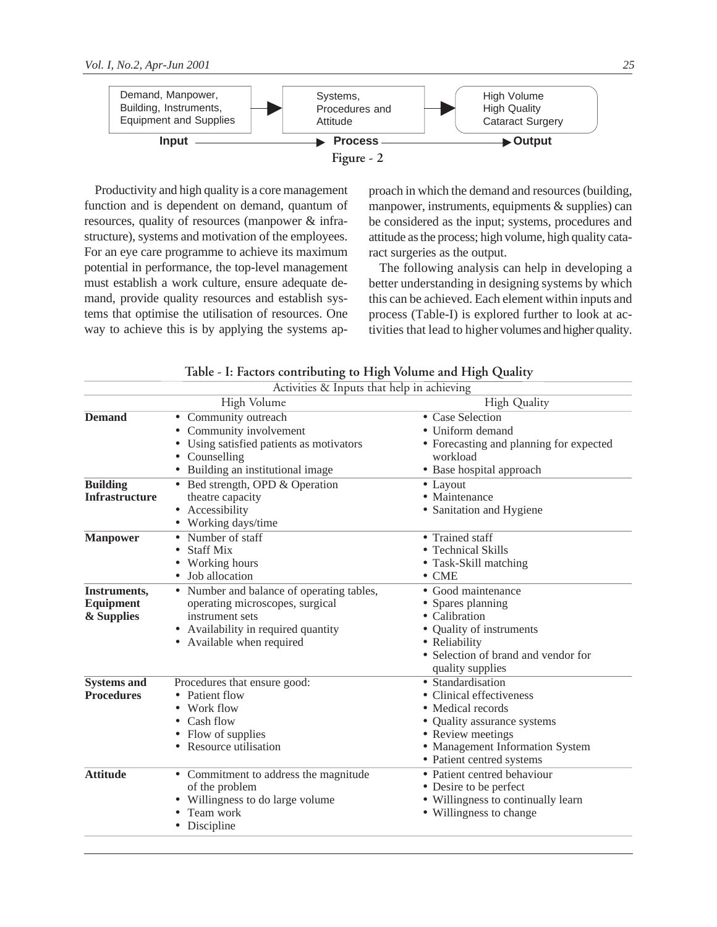

Productivity and high quality is a core management function and is dependent on demand, quantum of resources, quality of resources (manpower & infrastructure), systems and motivation of the employees. For an eye care programme to achieve its maximum potential in performance, the top-level management must establish a work culture, ensure adequate demand, provide quality resources and establish systems that optimise the utilisation of resources. One way to achieve this is by applying the systems approach in which the demand and resources (building, manpower, instruments, equipments & supplies) can be considered as the input; systems, procedures and attitude as the process; high volume, high quality cataract surgeries as the output.

The following analysis can help in developing a better understanding in designing systems by which this can be achieved. Each element within inputs and process (Table-I) is explored further to look at activities that lead to higher volumes and higher quality.

| Activities & Inputs that help in achieving     |                                                                                                                                                                              |                                                                                                                                                                                                |  |  |  |  |
|------------------------------------------------|------------------------------------------------------------------------------------------------------------------------------------------------------------------------------|------------------------------------------------------------------------------------------------------------------------------------------------------------------------------------------------|--|--|--|--|
|                                                | High Volume                                                                                                                                                                  | <b>High Quality</b>                                                                                                                                                                            |  |  |  |  |
| <b>Demand</b>                                  | Community outreach<br>٠<br>Community involvement<br>Using satisfied patients as motivators<br>Counselling<br>Building an institutional image                                 | • Case Selection<br>• Uniform demand<br>• Forecasting and planning for expected<br>workload<br>• Base hospital approach                                                                        |  |  |  |  |
| <b>Building</b><br><b>Infrastructure</b>       | • Bed strength, OPD & Operation<br>theatre capacity<br>Accessibility<br>Working days/time                                                                                    | $\bullet$ Layout<br>• Maintenance<br>• Sanitation and Hygiene                                                                                                                                  |  |  |  |  |
| <b>Manpower</b>                                | Number of staff<br><b>Staff Mix</b><br>Working hours<br>Job allocation                                                                                                       | • Trained staff<br>• Technical Skills<br>• Task-Skill matching<br>$\bullet$ CME                                                                                                                |  |  |  |  |
| Instruments,<br><b>Equipment</b><br>& Supplies | Number and balance of operating tables,<br>$\bullet$<br>operating microscopes, surgical<br>instrument sets<br>Availability in required quantity<br>• Available when required | • Good maintenance<br>• Spares planning<br>• Calibration<br>• Quality of instruments<br>• Reliability<br>• Selection of brand and vendor for<br>quality supplies                               |  |  |  |  |
| <b>Systems and</b><br><b>Procedures</b>        | Procedures that ensure good:<br>Patient flow<br>Work flow<br>Cash flow<br>Flow of supplies<br>Resource utilisation                                                           | $\bullet$ Standardisation<br>• Clinical effectiveness<br>• Medical records<br>• Quality assurance systems<br>• Review meetings<br>• Management Information System<br>• Patient centred systems |  |  |  |  |
| <b>Attitude</b>                                | • Commitment to address the magnitude<br>of the problem<br>Willingness to do large volume<br>Team work<br>Discipline                                                         | · Patient centred behaviour<br>• Desire to be perfect<br>• Willingness to continually learn<br>• Willingness to change                                                                         |  |  |  |  |

**Table - I: Factors contributing to High Volume and High Quality**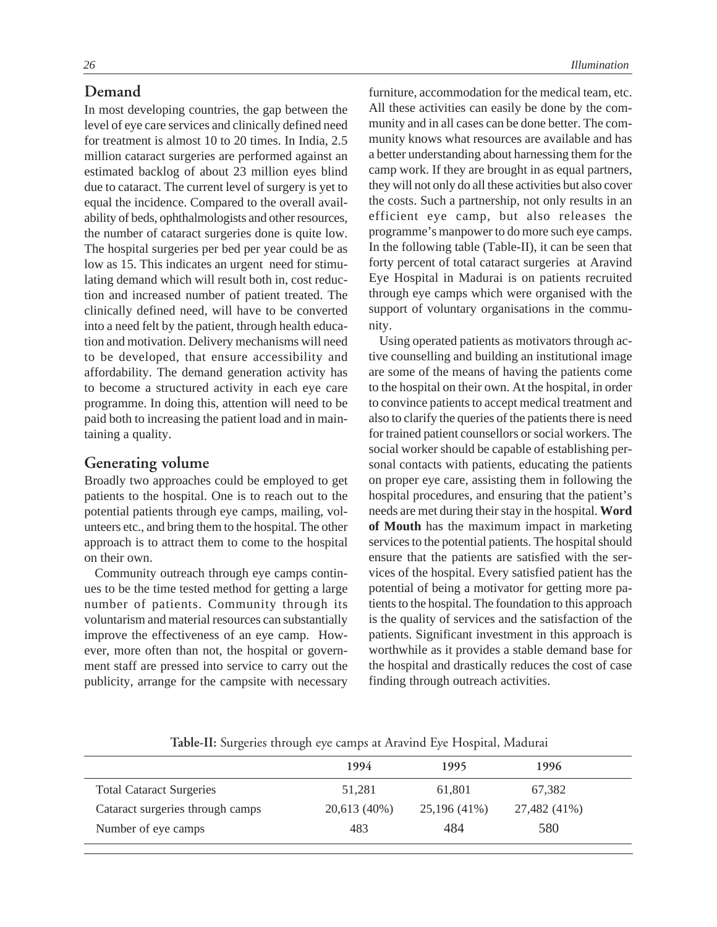## **Demand**

In most developing countries, the gap between the level of eye care services and clinically defined need for treatment is almost 10 to 20 times. In India, 2.5 million cataract surgeries are performed against an estimated backlog of about 23 million eyes blind due to cataract. The current level of surgery is yet to equal the incidence. Compared to the overall availability of beds, ophthalmologists and other resources, the number of cataract surgeries done is quite low. The hospital surgeries per bed per year could be as low as 15. This indicates an urgent need for stimulating demand which will result both in, cost reduction and increased number of patient treated. The clinically defined need, will have to be converted into a need felt by the patient, through health education and motivation. Delivery mechanisms will need to be developed, that ensure accessibility and affordability. The demand generation activity has to become a structured activity in each eye care programme. In doing this, attention will need to be paid both to increasing the patient load and in maintaining a quality.

## **Generating volume**

Broadly two approaches could be employed to get patients to the hospital. One is to reach out to the potential patients through eye camps, mailing, volunteers etc., and bring them to the hospital. The other approach is to attract them to come to the hospital on their own.

Community outreach through eye camps continues to be the time tested method for getting a large number of patients. Community through its voluntarism and material resources can substantially improve the effectiveness of an eye camp. However, more often than not, the hospital or government staff are pressed into service to carry out the publicity, arrange for the campsite with necessary furniture, accommodation for the medical team, etc. All these activities can easily be done by the community and in all cases can be done better. The community knows what resources are available and has a better understanding about harnessing them for the camp work. If they are brought in as equal partners, they will not only do all these activities but also cover the costs. Such a partnership, not only results in an efficient eye camp, but also releases the programme's manpower to do more such eye camps. In the following table (Table-II), it can be seen that forty percent of total cataract surgeries at Aravind Eye Hospital in Madurai is on patients recruited through eye camps which were organised with the support of voluntary organisations in the community.

Using operated patients as motivators through active counselling and building an institutional image are some of the means of having the patients come to the hospital on their own. At the hospital, in order to convince patients to accept medical treatment and also to clarify the queries of the patients there is need for trained patient counsellors or social workers. The social worker should be capable of establishing personal contacts with patients, educating the patients on proper eye care, assisting them in following the hospital procedures, and ensuring that the patient's needs are met during their stay in the hospital. **Word of Mouth** has the maximum impact in marketing services to the potential patients. The hospital should ensure that the patients are satisfied with the services of the hospital. Every satisfied patient has the potential of being a motivator for getting more patients to the hospital. The foundation to this approach is the quality of services and the satisfaction of the patients. Significant investment in this approach is worthwhile as it provides a stable demand base for the hospital and drastically reduces the cost of case finding through outreach activities.

**Table-II:** Surgeries through eye camps at Aravind Eye Hospital, Madurai

|                                  | 1994         | 1995         | 1996         |  |
|----------------------------------|--------------|--------------|--------------|--|
| <b>Total Cataract Surgeries</b>  | 51.281       | 61.801       | 67,382       |  |
| Cataract surgeries through camps | 20,613 (40%) | 25,196 (41%) | 27,482 (41%) |  |
| Number of eye camps              | 483          | 484          | 580          |  |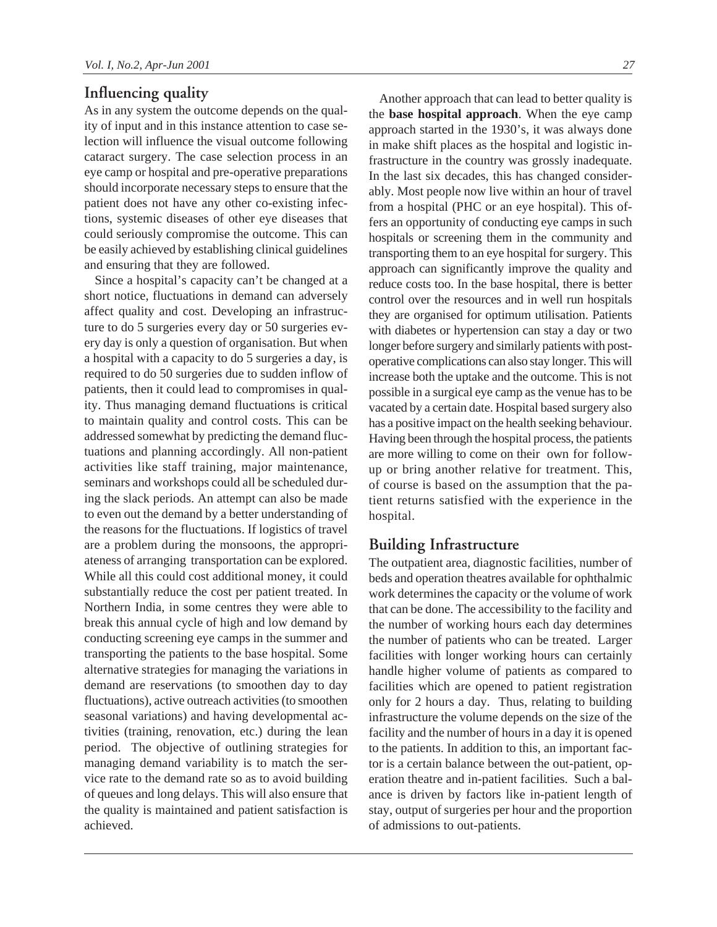## **Influencing quality**

As in any system the outcome depends on the quality of input and in this instance attention to case selection will influence the visual outcome following cataract surgery. The case selection process in an eye camp or hospital and pre-operative preparations should incorporate necessary steps to ensure that the patient does not have any other co-existing infections, systemic diseases of other eye diseases that could seriously compromise the outcome. This can be easily achieved by establishing clinical guidelines and ensuring that they are followed.

Since a hospital's capacity can't be changed at a short notice, fluctuations in demand can adversely affect quality and cost. Developing an infrastructure to do 5 surgeries every day or 50 surgeries every day is only a question of organisation. But when a hospital with a capacity to do 5 surgeries a day, is required to do 50 surgeries due to sudden inflow of patients, then it could lead to compromises in quality. Thus managing demand fluctuations is critical to maintain quality and control costs. This can be addressed somewhat by predicting the demand fluctuations and planning accordingly. All non-patient activities like staff training, major maintenance, seminars and workshops could all be scheduled during the slack periods. An attempt can also be made to even out the demand by a better understanding of the reasons for the fluctuations. If logistics of travel are a problem during the monsoons, the appropriateness of arranging transportation can be explored. While all this could cost additional money, it could substantially reduce the cost per patient treated. In Northern India, in some centres they were able to break this annual cycle of high and low demand by conducting screening eye camps in the summer and transporting the patients to the base hospital. Some alternative strategies for managing the variations in demand are reservations (to smoothen day to day fluctuations), active outreach activities (to smoothen seasonal variations) and having developmental activities (training, renovation, etc.) during the lean period. The objective of outlining strategies for managing demand variability is to match the service rate to the demand rate so as to avoid building of queues and long delays. This will also ensure that the quality is maintained and patient satisfaction is achieved.

Another approach that can lead to better quality is the **base hospital approach**. When the eye camp approach started in the 1930's, it was always done in make shift places as the hospital and logistic infrastructure in the country was grossly inadequate. In the last six decades, this has changed considerably. Most people now live within an hour of travel from a hospital (PHC or an eye hospital). This offers an opportunity of conducting eye camps in such hospitals or screening them in the community and transporting them to an eye hospital for surgery. This approach can significantly improve the quality and reduce costs too. In the base hospital, there is better control over the resources and in well run hospitals they are organised for optimum utilisation. Patients with diabetes or hypertension can stay a day or two longer before surgery and similarly patients with postoperative complications can also stay longer. This will increase both the uptake and the outcome. This is not possible in a surgical eye camp as the venue has to be vacated by a certain date. Hospital based surgery also has a positive impact on the health seeking behaviour. Having been through the hospital process, the patients are more willing to come on their own for followup or bring another relative for treatment. This, of course is based on the assumption that the patient returns satisfied with the experience in the hospital.

## **Building Infrastructure**

The outpatient area, diagnostic facilities, number of beds and operation theatres available for ophthalmic work determines the capacity or the volume of work that can be done. The accessibility to the facility and the number of working hours each day determines the number of patients who can be treated. Larger facilities with longer working hours can certainly handle higher volume of patients as compared to facilities which are opened to patient registration only for 2 hours a day. Thus, relating to building infrastructure the volume depends on the size of the facility and the number of hours in a day it is opened to the patients. In addition to this, an important factor is a certain balance between the out-patient, operation theatre and in-patient facilities. Such a balance is driven by factors like in-patient length of stay, output of surgeries per hour and the proportion of admissions to out-patients.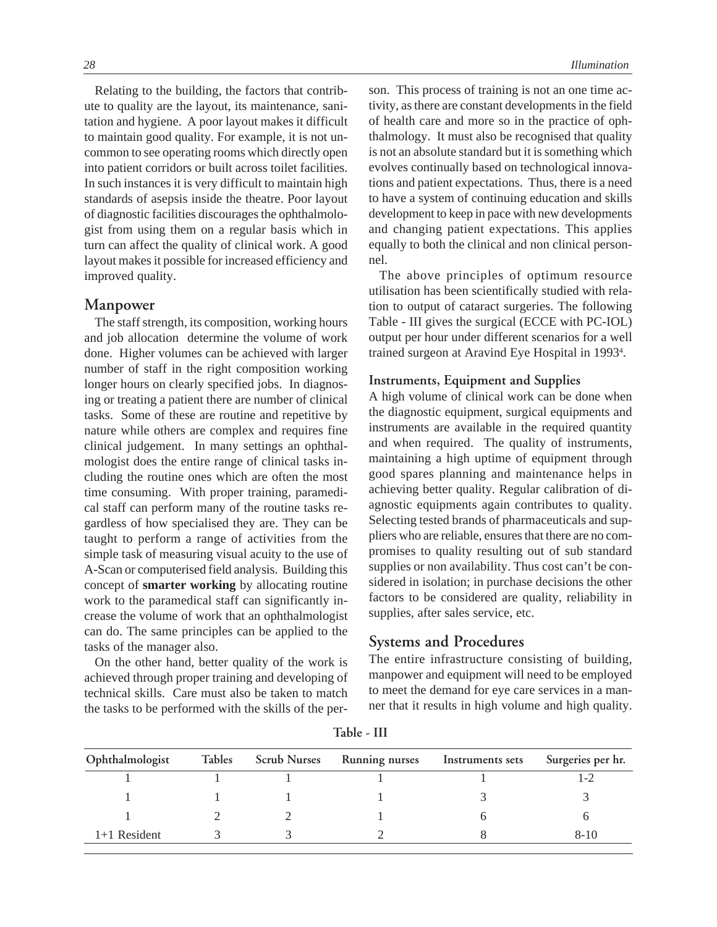Relating to the building, the factors that contribute to quality are the layout, its maintenance, sanitation and hygiene. A poor layout makes it difficult to maintain good quality. For example, it is not uncommon to see operating rooms which directly open into patient corridors or built across toilet facilities. In such instances it is very difficult to maintain high standards of asepsis inside the theatre. Poor layout of diagnostic facilities discourages the ophthalmologist from using them on a regular basis which in turn can affect the quality of clinical work. A good layout makes it possible for increased efficiency and improved quality.

#### **Manpower**

The staff strength, its composition, working hours and job allocation determine the volume of work done. Higher volumes can be achieved with larger number of staff in the right composition working longer hours on clearly specified jobs. In diagnosing or treating a patient there are number of clinical tasks. Some of these are routine and repetitive by nature while others are complex and requires fine clinical judgement. In many settings an ophthalmologist does the entire range of clinical tasks including the routine ones which are often the most time consuming. With proper training, paramedical staff can perform many of the routine tasks regardless of how specialised they are. They can be taught to perform a range of activities from the simple task of measuring visual acuity to the use of A-Scan or computerised field analysis. Building this concept of **smarter working** by allocating routine work to the paramedical staff can significantly increase the volume of work that an ophthalmologist can do. The same principles can be applied to the tasks of the manager also.

On the other hand, better quality of the work is achieved through proper training and developing of technical skills. Care must also be taken to match the tasks to be performed with the skills of the person. This process of training is not an one time activity, as there are constant developments in the field of health care and more so in the practice of ophthalmology. It must also be recognised that quality is not an absolute standard but it is something which evolves continually based on technological innovations and patient expectations. Thus, there is a need to have a system of continuing education and skills development to keep in pace with new developments and changing patient expectations. This applies equally to both the clinical and non clinical personnel.

The above principles of optimum resource utilisation has been scientifically studied with relation to output of cataract surgeries. The following Table - III gives the surgical (ECCE with PC-IOL) output per hour under different scenarios for a well trained surgeon at Aravind Eye Hospital in 1993<sup>4</sup>.

#### **Instruments, Equipment and Supplies**

A high volume of clinical work can be done when the diagnostic equipment, surgical equipments and instruments are available in the required quantity and when required. The quality of instruments, maintaining a high uptime of equipment through good spares planning and maintenance helps in achieving better quality. Regular calibration of diagnostic equipments again contributes to quality. Selecting tested brands of pharmaceuticals and suppliers who are reliable, ensures that there are no compromises to quality resulting out of sub standard supplies or non availability. Thus cost can't be considered in isolation; in purchase decisions the other factors to be considered are quality, reliability in supplies, after sales service, etc.

## **Systems and Procedures**

The entire infrastructure consisting of building, manpower and equipment will need to be employed to meet the demand for eye care services in a manner that it results in high volume and high quality.

| Ophthalmologist | Tables Scrub Nurses | <b>Running nurses</b> | Instruments sets | Surgeries per hr. |
|-----------------|---------------------|-----------------------|------------------|-------------------|
|                 |                     |                       |                  | 1 – 2             |
|                 |                     |                       |                  |                   |
|                 |                     |                       |                  |                   |
| $1+1$ Resident  |                     |                       |                  | $8-10$            |

**Table - III**